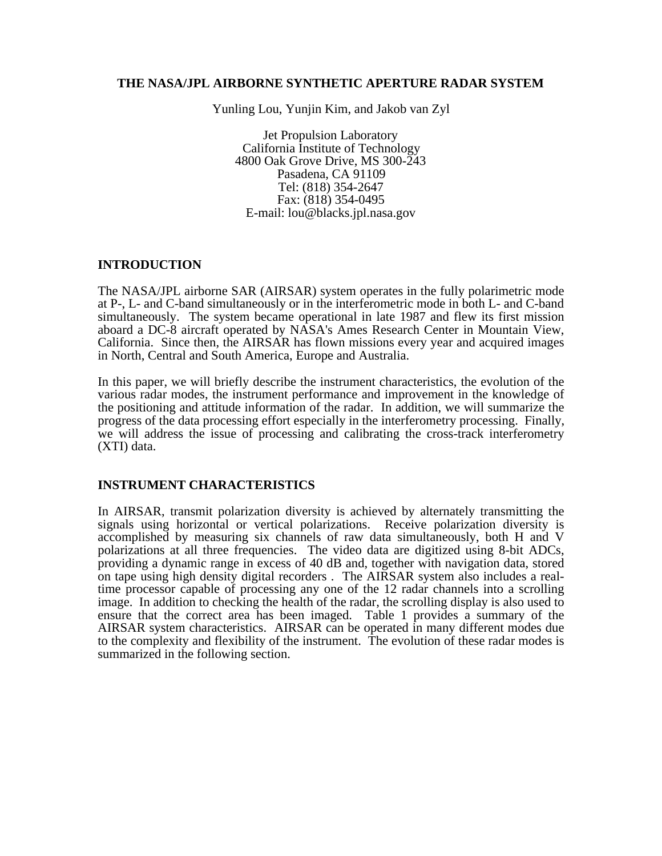#### **THE NASA/JPL AIRBORNE SYNTHETIC APERTURE RADAR SYSTEM**

Yunling Lou, Yunjin Kim, and Jakob van Zyl

Jet Propulsion Laboratory California Institute of Technology 4800 Oak Grove Drive, MS 300-243 Pasadena, CA 91109 Tel: (818) 354-2647 Fax: (818) 354-0495 E-mail: lou@blacks.jpl.nasa.gov

### **INTRODUCTION**

The NASA/JPL airborne SAR (AIRSAR) system operates in the fully polarimetric mode at P-, L- and C-band simultaneously or in the interferometric mode in both L- and C-band simultaneously. The system became operational in late 1987 and flew its first mission aboard a DC-8 aircraft operated by NASA's Ames Research Center in Mountain View, California. Since then, the AIRSAR has flown missions every year and acquired images in North, Central and South America, Europe and Australia.

In this paper, we will briefly describe the instrument characteristics, the evolution of the various radar modes, the instrument performance and improvement in the knowledge of the positioning and attitude information of the radar. In addition, we will summarize the progress of the data processing effort especially in the interferometry processing. Finally, we will address the issue of processing and calibrating the cross-track interferometry (XTI) data.

### **INSTRUMENT CHARACTERISTICS**

In AIRSAR, transmit polarization diversity is achieved by alternately transmitting the signals using horizontal or vertical polarizations. Receive polarization diversity is accomplished by measuring six channels of raw data simultaneously, both H and V polarizations at all three frequencies. The video data are digitized using 8-bit ADCs, providing a dynamic range in excess of 40 dB and, together with navigation data, stored on tape using high density digital recorders . The AIRSAR system also includes a realtime processor capable of processing any one of the 12 radar channels into a scrolling image. In addition to checking the health of the radar, the scrolling display is also used to ensure that the correct area has been imaged. Table 1 provides a summary of the AIRSAR system characteristics. AIRSAR can be operated in many different modes due to the complexity and flexibility of the instrument. The evolution of these radar modes is summarized in the following section.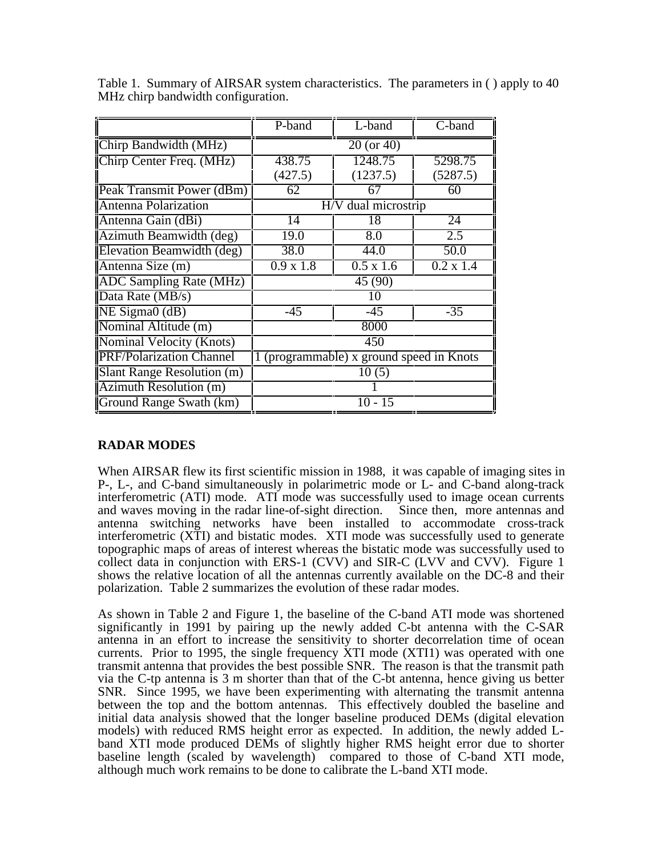|                                      | L-band<br>P-band                         |                  | C-band            |  |  |  |  |
|--------------------------------------|------------------------------------------|------------------|-------------------|--|--|--|--|
| $\overline{C}$ hirp Bandwidth (MHz)  | 20 (or 40)                               |                  |                   |  |  |  |  |
| Chirp Center Freq. (MHz)             | 438.75                                   | 1248.75          | 5298.75           |  |  |  |  |
|                                      | (427.5)                                  | (1237.5)         | (5287.5)          |  |  |  |  |
| Peak Transmit Power (dBm)            | 62<br>67                                 |                  | 60                |  |  |  |  |
| <b>Antenna Polarization</b>          | dual microstrip<br>H/V                   |                  |                   |  |  |  |  |
| Antenna Gain (dBi)                   | 14                                       | 18               | 24                |  |  |  |  |
| Azimuth Beamwidth (deg)              | 19.0                                     | 8.0              | 2.5               |  |  |  |  |
| Elevation Beamwidth (deg)            | 38.0                                     | 44.0             | $\overline{50.0}$ |  |  |  |  |
| Antenna Size (m)                     | $0.9 \times 1.8$                         | $0.5 \times 1.6$ | $0.2 \times 1.4$  |  |  |  |  |
| <b>ADC</b> Sampling Rate (MHz)       | 45 (90)                                  |                  |                   |  |  |  |  |
| $\overline{\text{Data Rate (MB/s)}}$ | 10                                       |                  |                   |  |  |  |  |
| $NE \overline{Sigma(dB)}$            | $-45$                                    | $-45$            | $-35$             |  |  |  |  |
| Nominal Altitude (m)                 | 8000                                     |                  |                   |  |  |  |  |
| Nominal Velocity (Knots)             | 450                                      |                  |                   |  |  |  |  |
| <b>PRF/Polarization Channel</b>      | 1 (programmable) x ground speed in Knots |                  |                   |  |  |  |  |
| Slant Range Resolution (m)           | 10(5)                                    |                  |                   |  |  |  |  |
| Azimuth Resolution (m)               |                                          |                  |                   |  |  |  |  |
| Ground Range Swath (km)              | 10 - 15                                  |                  |                   |  |  |  |  |

Table 1. Summary of AIRSAR system characteristics. The parameters in ( ) apply to 40 MHz chirp bandwidth configuration.

# **RADAR MODES**

When AIRSAR flew its first scientific mission in 1988, it was capable of imaging sites in P-, L-, and C-band simultaneously in polarimetric mode or L- and C-band along-track interferometric (ATI) mode. ATI mode was successfully used to image ocean currents and waves moving in the radar line-of-sight direction. Since then, more antennas and antenna switching networks have been installed to accommodate cross-track interferometric (XTI) and bistatic modes. XTI mode was successfully used to generate topographic maps of areas of interest whereas the bistatic mode was successfully used to collect data in conjunction with ERS-1 (CVV) and SIR-C (LVV and CVV). Figure 1 shows the relative location of all the antennas currently available on the DC-8 and their polarization. Table 2 summarizes the evolution of these radar modes.

As shown in Table 2 and Figure 1, the baseline of the C-band ATI mode was shortened significantly in 1991 by pairing up the newly added C-bt antenna with the C-SAR antenna in an effort to increase the sensitivity to shorter decorrelation time of ocean currents. Prior to 1995, the single frequency XTI mode (XTI1) was operated with one transmit antenna that provides the best possible SNR. The reason is that the transmit path via the C-tp antenna is 3 m shorter than that of the C-bt antenna, hence giving us better SNR. Since 1995, we have been experimenting with alternating the transmit antenna between the top and the bottom antennas. This effectively doubled the baseline and initial data analysis showed that the longer baseline produced DEMs (digital elevation models) with reduced RMS height error as expected. In addition, the newly added Lband XTI mode produced DEMs of slightly higher RMS height error due to shorter baseline length (scaled by wavelength) compared to those of C-band XTI mode, although much work remains to be done to calibrate the L-band XTI mode.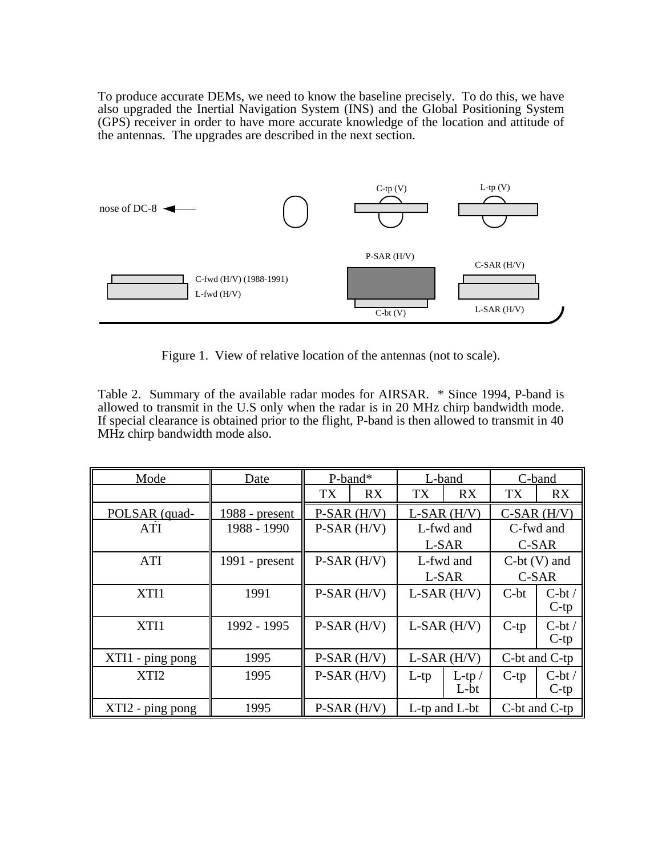To produce accurate DEMs, we need to know the baseline precisely. To do this, we have also upgraded the Inertial Navigation System (INS) and the Global Positioning System (GPS) receiver in order to have more accurate knowledge of the location and attitude of the antennas. The upgrades are described in the next section.



Figure 1. View of relative location of the antennas (not to scale).

Table 2. Summary of the available radar modes for AIRSAR. \* Since 1994, P-band is allowed to transmit in the U.S only when the radar is in 20 MHz chirp bandwidth mode. If special clearance is obtained prior to the flight, P-band is then allowed to transmit in 40 MHz chirp bandwidth mode also.

| Mode             | Date             | $P$ -band*        |                   | L-band              |                   | C-band          |                    |
|------------------|------------------|-------------------|-------------------|---------------------|-------------------|-----------------|--------------------|
|                  |                  | TX                | <b>RX</b>         | TX                  | <b>RX</b>         | TX              | RX                 |
| POLSAR (quad-    | 1988 - present   | $P-SAR$ ( $H/V$ ) |                   | $L-SAR$ $(H/V)$     |                   | $C-SAR$ $(H/V)$ |                    |
| <b>ATI</b>       | 1988 - 1990      | $P-SAR$ ( $H/V$ ) |                   | L-fwd and           |                   | C-fwd and       |                    |
|                  |                  |                   |                   | L-SAR               |                   | C-SAR           |                    |
| <b>ATI</b>       | $1991$ - present | $P-SAR$ ( $H/V$ ) |                   | L-fwd and           |                   | $C-bt(V)$ and   |                    |
|                  |                  |                   |                   | L-SAR               |                   | C-SAR           |                    |
| XTI1             | 1991             | $P-SAR$ (H/V)     |                   | $L-SAR$ $(H/V)$     |                   | $C-bt$          | $C-bt/$<br>$C$ -tp |
| XTI1             | 1992 - 1995      |                   | $P-SAR$ ( $H/V$ ) | $L-SAR$ ( $H/V$ )   |                   | $C$ -tp         | $C-bt/$<br>$C$ -tp |
| XTI1 - ping pong | 1995             |                   | $P-SAR$ ( $H/V$ ) | $L-SAR$ $(H/V)$     |                   | C-bt and C-tp   |                    |
| XTI <sub>2</sub> | 1995             |                   | $P-SAR$ ( $H/V$ ) | $L$ -tp             | $L$ -tp /<br>L-bt | $C$ -tp         | $C-bt/$<br>$C$ -tp |
| XTI2 - ping pong | 1995             |                   | $P-SAR$ ( $H/V$ ) | $L$ -tp and $L$ -bt |                   | C-bt and C-tp   |                    |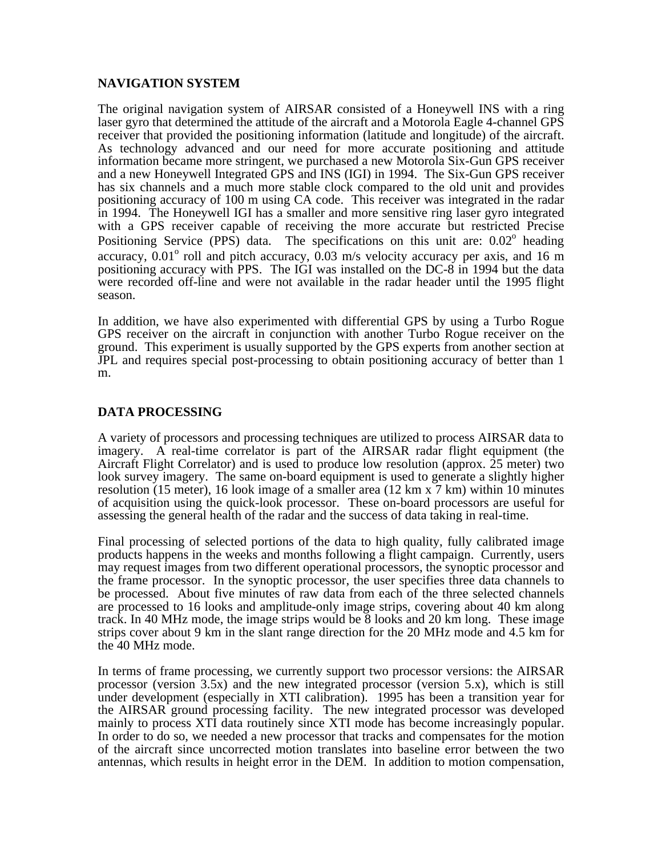## **NAVIGATION SYSTEM**

The original navigation system of AIRSAR consisted of a Honeywell INS with a ring laser gyro that determined the attitude of the aircraft and a Motorola Eagle 4-channel GPS receiver that provided the positioning information (latitude and longitude) of the aircraft. As technology advanced and our need for more accurate positioning and attitude information became more stringent, we purchased a new Motorola Six-Gun GPS receiver and a new Honeywell Integrated GPS and INS (IGI) in 1994. The Six-Gun GPS receiver has six channels and a much more stable clock compared to the old unit and provides positioning accuracy of 100 m using CA code. This receiver was integrated in the radar in 1994. The Honeywell IGI has a smaller and more sensitive ring laser gyro integrated with a GPS receiver capable of receiving the more accurate but restricted Precise Positioning Service (PPS) data. The specifications on this unit are:  $0.02^{\circ}$  heading accuracy,  $0.01^{\circ}$  roll and pitch accuracy,  $0.03$  m/s velocity accuracy per axis, and 16 m positioning accuracy with PPS. The IGI was installed on the DC-8 in 1994 but the data were recorded off-line and were not available in the radar header until the 1995 flight season.

In addition, we have also experimented with differential GPS by using a Turbo Rogue GPS receiver on the aircraft in conjunction with another Turbo Rogue receiver on the ground. This experiment is usually supported by the GPS experts from another section at JPL and requires special post-processing to obtain positioning accuracy of better than 1 m.

### **DATA PROCESSING**

A variety of processors and processing techniques are utilized to process AIRSAR data to imagery. A real-time correlator is part of the AIRSAR radar flight equipment (the Aircraft Flight Correlator) and is used to produce low resolution (approx. 25 meter) two look survey imagery. The same on-board equipment is used to generate a slightly higher resolution (15 meter), 16 look image of a smaller area (12 km x 7 km) within 10 minutes of acquisition using the quick-look processor. These on-board processors are useful for assessing the general health of the radar and the success of data taking in real-time.

Final processing of selected portions of the data to high quality, fully calibrated image products happens in the weeks and months following a flight campaign. Currently, users may request images from two different operational processors, the synoptic processor and the frame processor. In the synoptic processor, the user specifies three data channels to be processed. About five minutes of raw data from each of the three selected channels are processed to 16 looks and amplitude-only image strips, covering about 40 km along track. In 40 MHz mode, the image strips would be 8 looks and 20 km long. These image strips cover about 9 km in the slant range direction for the 20 MHz mode and 4.5 km for the 40 MHz mode.

In terms of frame processing, we currently support two processor versions: the AIRSAR processor (version 3.5x) and the new integrated processor (version 5.x), which is still under development (especially in XTI calibration). 1995 has been a transition year for the AIRSAR ground processing facility. The new integrated processor was developed mainly to process XTI data routinely since XTI mode has become increasingly popular. In order to do so, we needed a new processor that tracks and compensates for the motion of the aircraft since uncorrected motion translates into baseline error between the two antennas, which results in height error in the DEM. In addition to motion compensation,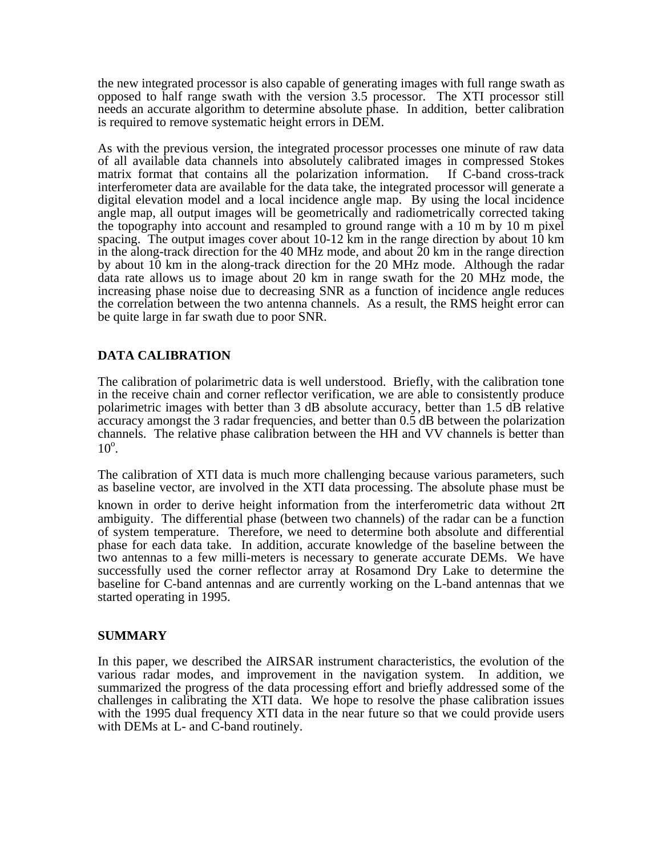the new integrated processor is also capable of generating images with full range swath as opposed to half range swath with the version 3.5 processor. The XTI processor still needs an accurate algorithm to determine absolute phase. In addition, better calibration is required to remove systematic height errors in DEM.

As with the previous version, the integrated processor processes one minute of raw data of all available data channels into absolutely calibrated images in compressed Stokes matrix format that contains all the polarization information. If C-band cross-track interferometer data are available for the data take, the integrated processor will generate a digital elevation model and a local incidence angle map. By using the local incidence angle map, all output images will be geometrically and radiometrically corrected taking the topography into account and resampled to ground range with a 10 m by 10 m pixel spacing. The output images cover about  $10-12$  km in the range direction by about  $10 \text{ km}$ in the along-track direction for the 40 MHz mode, and about 20 km in the range direction by about 10 km in the along-track direction for the 20 MHz mode. Although the radar data rate allows us to image about 20 km in range swath for the 20 MHz mode, the increasing phase noise due to decreasing SNR as a function of incidence angle reduces the correlation between the two antenna channels. As a result, the RMS height error can be quite large in far swath due to poor SNR.

## **DATA CALIBRATION**

The calibration of polarimetric data is well understood. Briefly, with the calibration tone in the receive chain and corner reflector verification, we are able to consistently produce polarimetric images with better than 3 dB absolute accuracy, better than 1.5 dB relative accuracy amongst the 3 radar frequencies, and better than 0.5 dB between the polarization channels. The relative phase calibration between the HH and VV channels is better than  $10^{\circ}$ .

The calibration of XTI data is much more challenging because various parameters, such as baseline vector, are involved in the XTI data processing. The absolute phase must be known in order to derive height information from the interferometric data without 2 ambiguity. The differential phase (between two channels) of the radar can be a function of system temperature. Therefore, we need to determine both absolute and differential phase for each data take. In addition, accurate knowledge of the baseline between the two antennas to a few milli-meters is necessary to generate accurate DEMs. We have successfully used the corner reflector array at Rosamond Dry Lake to determine the baseline for C-band antennas and are currently working on the L-band antennas that we started operating in 1995.

#### **SUMMARY**

In this paper, we described the AIRSAR instrument characteristics, the evolution of the various radar modes, and improvement in the navigation system. In addition, we summarized the progress of the data processing effort and briefly addressed some of the challenges in calibrating the XTI data. We hope to resolve the phase calibration issues with the 1995 dual frequency XTI data in the near future so that we could provide users with DEMs at L- and C-band routinely.